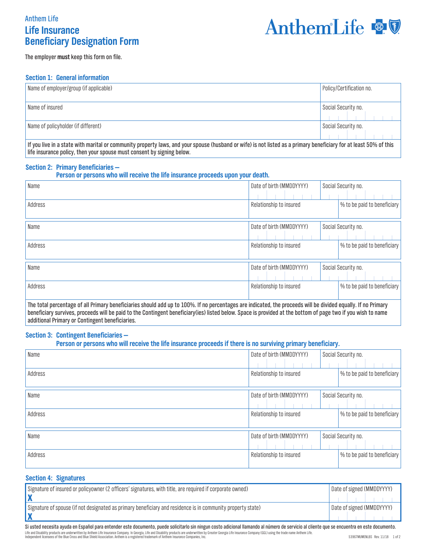# **Life Insurance Beneficiary Designation Form** Anthem Life



The employer **must** keep this form on file.

### **Section 1: General information**

| Name of employer/group (if applicable)                                                                                                                                                                                         | Policy/Certification no. |  |
|--------------------------------------------------------------------------------------------------------------------------------------------------------------------------------------------------------------------------------|--------------------------|--|
| Name of insured                                                                                                                                                                                                                | Social Security no.      |  |
| Name of policyholder (if different)                                                                                                                                                                                            | Social Security no.      |  |
| The contract the comparable of the community construction and constructed and the control of the control of the control of the control of the control of the control of the control of the control of the control of the contr |                          |  |

If you live in a state with marital or community property laws, and your spouse (husband or wife) is not listed as a primary beneficiary for at least 50% of this life insurance policy, then your spouse must consent by signing below.

### **Section 2: Primary Beneficiaries —**

| Person or persons who will receive the life insurance proceeds upon your death. |  |  |
|---------------------------------------------------------------------------------|--|--|
|---------------------------------------------------------------------------------|--|--|

| Name                                                                                                                                                          | Date of birth (MMDDYYYY) | Social Security no.         |
|---------------------------------------------------------------------------------------------------------------------------------------------------------------|--------------------------|-----------------------------|
| Address                                                                                                                                                       | Relationship to insured  | % to be paid to beneficiary |
| Name                                                                                                                                                          | Date of birth (MMDDYYYY) | Social Security no.         |
| Address                                                                                                                                                       | Relationship to insured  | % to be paid to beneficiary |
| Name                                                                                                                                                          | Date of birth (MMDDYYYY) | Social Security no.         |
| Address                                                                                                                                                       | Relationship to insured  | % to be paid to beneficiary |
| The total percentage of all Primary beneficiaries should add up to 100%. If no percentages are indicated, the proceeds will be divided equally. If no Primary |                          |                             |

beneficiary survives, proceeds will be paid to the Contingent beneficiary(ies) listed below. Space is provided at the bottom of page two if you wish to name additional Primary or Contingent beneficiaries.

### **Section 3: Contingent Beneficiaries —**

### **Person or persons who will receive the life insurance proceeds if there is no surviving primary beneficiary.**

| Name    | Date of birth (MMDDYYYY) | Social Security no.         |
|---------|--------------------------|-----------------------------|
| Address | Relationship to insured  | % to be paid to beneficiary |
| Name    | Date of birth (MMDDYYYY) | Social Security no.         |
| Address | Relationship to insured  | % to be paid to beneficiary |
| Name    | Date of birth (MMDDYYYY) | Social Security no.         |
| Address | Relationship to insured  | % to be paid to beneficiary |

## **Section 4: Signatures**

| Signature of insured or policyowner (2 officers' signatures, with title, are required if corporate owned)   | Date of signed (MMDDYYYY) |
|-------------------------------------------------------------------------------------------------------------|---------------------------|
| Signature of spouse (if not designated as primary beneficiary and residence is in community property state) | Date of signed (MMDDYYYY) |

Si usted necesita ayuda en Español para entender este documento, puede solicitarlo sin ningun costo adicional llamando al número de servicio al cliente que se encuentra en este documento. Life and Disability products are underwritten by Anthem Life Insurance Company. In Georgia, Life and Disability products are underwritten by Greater Georgia Life Insurance Company (GGL) using the trade name Anthem Life. 53